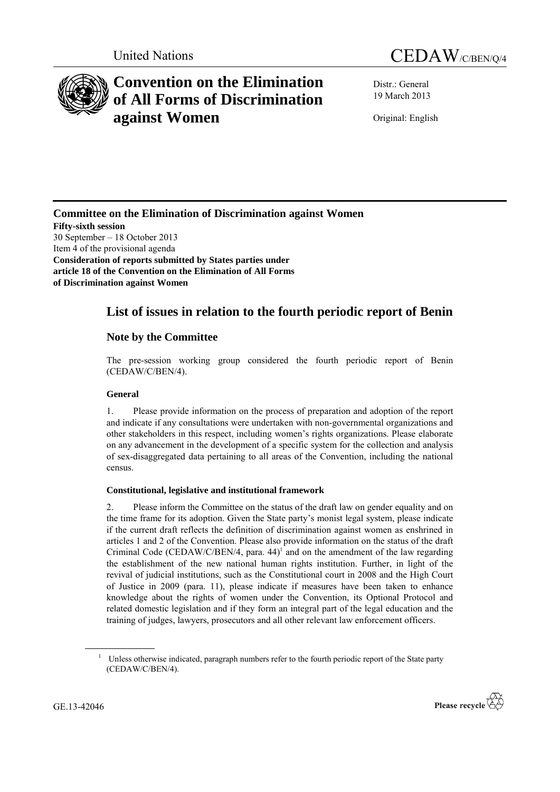



# **Convention on the Elimination of All Forms of Discrimination against Women**

Distr.: General 19 March 2013

Original: English

**Committee on the Elimination of Discrimination against Women Fifty-sixth session** 30 September – 18 October 2013 Item 4 of the provisional agenda **Consideration of reports submitted by States parties under article 18 of the Convention on the Elimination of All Forms of Discrimination against Women**

# **List of issues in relation to the fourth periodic report of Benin**

# **Note by the Committee**

The pre-session working group considered the fourth periodic report of Benin (CEDAW/C/BEN/4).

# **General**

1. Please provide information on the process of preparation and adoption of the report and indicate if any consultations were undertaken with non-governmental organizations and other stakeholders in this respect, including women's rights organizations. Please elaborate on any advancement in the development of a specific system for the collection and analysis of sex-disaggregated data pertaining to all areas of the Convention, including the national census.

# **Constitutional, legislative and institutional framework**

2. Please inform the Committee on the status of the draft law on gender equality and on the time frame for its adoption. Given the State party's monist legal system, please indicate if the current draft reflects the definition of discrimination against women as enshrined in articles 1 and 2 of the Convention. Please also provide information on the status of the draft Criminal Code (CEDAW/C/BEN/4, para.  $44$ )<sup>1</sup> and on the amendment of the law regarding the establishment of the new national human rights institution. Further, in light of the revival of judicial institutions, such as the Constitutional court in 2008 and the High Court of Justice in 2009 (para. 11), please indicate if measures have been taken to enhance knowledge about the rights of women under the Convention, its Optional Protocol and related domestic legislation and if they form an integral part of the legal education and the training of judges, lawyers, prosecutors and all other relevant law enforcement officers.

<sup>&</sup>lt;sup>1</sup> Unless otherwise indicated, paragraph numbers refer to the fourth periodic report of the State party (CEDAW/C/BEN/4).



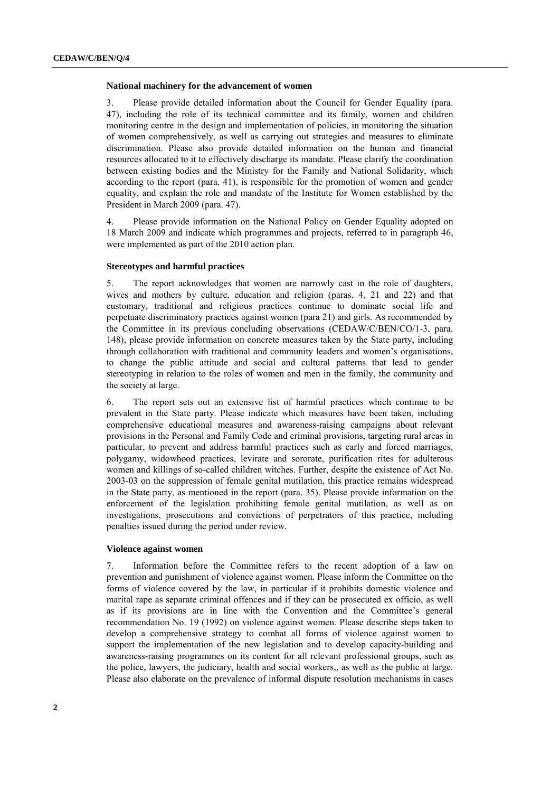#### **National machinery for the advancement of women**

3. Please provide detailed information about the Council for Gender Equality (para. 47), including the role of its technical committee and its family, women and children monitoring centre in the design and implementation of policies, in monitoring the situation of women comprehensively, as well as carrying out strategies and measures to eliminate discrimination. Please also provide detailed information on the human and financial resources allocated to it to effectively discharge its mandate. Please clarify the coordination between existing bodies and the Ministry for the Family and National Solidarity, which according to the report (para. 41), is responsible for the promotion of women and gender equality, and explain the role and mandate of the Institute for Women established by the President in March 2009 (para. 47).

4. Please provide information on the National Policy on Gender Equality adopted on 18 March 2009 and indicate which programmes and projects, referred to in paragraph 46, were implemented as part of the 2010 action plan.

#### **Stereotypes and harmful practices**

5. The report acknowledges that women are narrowly cast in the role of daughters, wives and mothers by culture, education and religion (paras. 4, 21 and 22) and that customary, traditional and religious practices continue to dominate social life and perpetuate discriminatory practices against women (para 21) and girls. As recommended by the Committee in its previous concluding observations (CEDAW/C/BEN/CO/1-3, para. 148), please provide information on concrete measures taken by the State party, including through collaboration with traditional and community leaders and women's organisations, to change the public attitude and social and cultural patterns that lead to gender stereotyping in relation to the roles of women and men in the family, the community and the society at large.

6. The report sets out an extensive list of harmful practices which continue to be prevalent in the State party. Please indicate which measures have been taken, including comprehensive educational measures and awareness-raising campaigns about relevant provisions in the Personal and Family Code and criminal provisions, targeting rural areas in particular, to prevent and address harmful practices such as early and forced marriages, polygamy, widowhood practices, levirate and sororate, purification rites for adulterous women and killings of so-called children witches. Further, despite the existence of Act No. 2003-03 on the suppression of female genital mutilation, this practice remains widespread in the State party, as mentioned in the report (para. 35). Please provide information on the enforcement of the legislation prohibiting female genital mutilation, as well as on investigations, prosecutions and convictions of perpetrators of this practice, including penalties issued during the period under review.

#### **Violence against women**

7. Information before the Committee refers to the recent adoption of a law on prevention and punishment of violence against women. Please inform the Committee on the forms of violence covered by the law, in particular if it prohibits domestic violence and marital rape as separate criminal offences and if they can be prosecuted ex officio, as well as if its provisions are in line with the Convention and the Committee's general recommendation No. 19 (1992) on violence against women. Please describe steps taken to develop a comprehensive strategy to combat all forms of violence against women to support the implementation of the new legislation and to develop capacity-building and awareness-raising programmes on its content for all relevant professional groups, such as the police, lawyers, the judiciary, health and social workers,, as well as the public at large. Please also elaborate on the prevalence of informal dispute resolution mechanisms in cases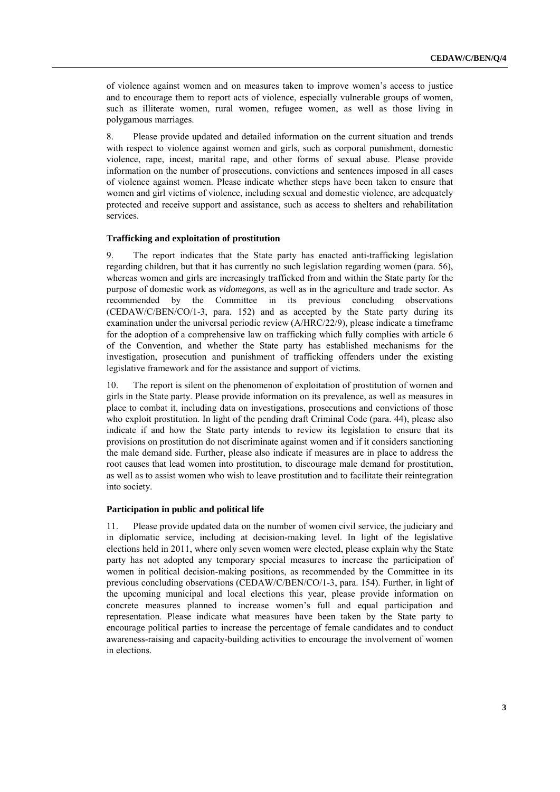of violence against women and on measures taken to improve women's access to justice and to encourage them to report acts of violence, especially vulnerable groups of women, such as illiterate women, rural women, refugee women, as well as those living in polygamous marriages.

8. Please provide updated and detailed information on the current situation and trends with respect to violence against women and girls, such as corporal punishment, domestic violence, rape, incest, marital rape, and other forms of sexual abuse. Please provide information on the number of prosecutions, convictions and sentences imposed in all cases of violence against women. Please indicate whether steps have been taken to ensure that women and girl victims of violence, including sexual and domestic violence, are adequately protected and receive support and assistance, such as access to shelters and rehabilitation services.

#### **Trafficking and exploitation of prostitution**

9. The report indicates that the State party has enacted anti-trafficking legislation regarding children, but that it has currently no such legislation regarding women (para. 56), whereas women and girls are increasingly trafficked from and within the State party for the purpose of domestic work as *vidomegons*, as well as in the agriculture and trade sector. As recommended by the Committee in its previous concluding observations (CEDAW/C/BEN/CO/1-3, para. 152) and as accepted by the State party during its examination under the universal periodic review (A/HRC/22/9), please indicate a timeframe for the adoption of a comprehensive law on trafficking which fully complies with article 6 of the Convention, and whether the State party has established mechanisms for the investigation, prosecution and punishment of trafficking offenders under the existing legislative framework and for the assistance and support of victims.

10. The report is silent on the phenomenon of exploitation of prostitution of women and girls in the State party. Please provide information on its prevalence, as well as measures in place to combat it, including data on investigations, prosecutions and convictions of those who exploit prostitution. In light of the pending draft Criminal Code (para. 44), please also indicate if and how the State party intends to review its legislation to ensure that its provisions on prostitution do not discriminate against women and if it considers sanctioning the male demand side. Further, please also indicate if measures are in place to address the root causes that lead women into prostitution, to discourage male demand for prostitution, as well as to assist women who wish to leave prostitution and to facilitate their reintegration into society.

#### **Participation in public and political life**

11. Please provide updated data on the number of women civil service, the judiciary and in diplomatic service, including at decision-making level. In light of the legislative elections held in 2011, where only seven women were elected, please explain why the State party has not adopted any temporary special measures to increase the participation of women in political decision-making positions, as recommended by the Committee in its previous concluding observations (CEDAW/C/BEN/CO/1-3, para. 154). Further, in light of the upcoming municipal and local elections this year, please provide information on concrete measures planned to increase women's full and equal participation and representation. Please indicate what measures have been taken by the State party to encourage political parties to increase the percentage of female candidates and to conduct awareness-raising and capacity-building activities to encourage the involvement of women in elections.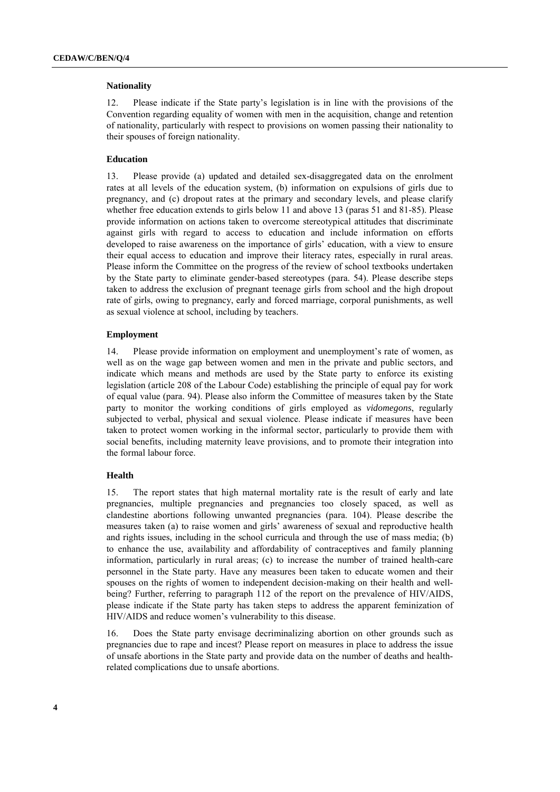#### **Nationality**

12. Please indicate if the State party's legislation is in line with the provisions of the Convention regarding equality of women with men in the acquisition, change and retention of nationality, particularly with respect to provisions on women passing their nationality to their spouses of foreign nationality.

## **Education**

13. Please provide (a) updated and detailed sex-disaggregated data on the enrolment rates at all levels of the education system, (b) information on expulsions of girls due to pregnancy, and (c) dropout rates at the primary and secondary levels, and please clarify whether free education extends to girls below 11 and above 13 (paras 51 and 81-85). Please provide information on actions taken to overcome stereotypical attitudes that discriminate against girls with regard to access to education and include information on efforts developed to raise awareness on the importance of girls' education, with a view to ensure their equal access to education and improve their literacy rates, especially in rural areas. Please inform the Committee on the progress of the review of school textbooks undertaken by the State party to eliminate gender-based stereotypes (para. 54). Please describe steps taken to address the exclusion of pregnant teenage girls from school and the high dropout rate of girls, owing to pregnancy, early and forced marriage, corporal punishments, as well as sexual violence at school, including by teachers.

## **Employment**

14. Please provide information on employment and unemployment's rate of women, as well as on the wage gap between women and men in the private and public sectors, and indicate which means and methods are used by the State party to enforce its existing legislation (article 208 of the Labour Code) establishing the principle of equal pay for work of equal value (para. 94). Please also inform the Committee of measures taken by the State party to monitor the working conditions of girls employed as *vidomegons*, regularly subjected to verbal, physical and sexual violence. Please indicate if measures have been taken to protect women working in the informal sector, particularly to provide them with social benefits, including maternity leave provisions, and to promote their integration into the formal labour force.

#### **Health**

15. The report states that high maternal mortality rate is the result of early and late pregnancies, multiple pregnancies and pregnancies too closely spaced, as well as clandestine abortions following unwanted pregnancies (para. 104). Please describe the measures taken (a) to raise women and girls' awareness of sexual and reproductive health and rights issues, including in the school curricula and through the use of mass media; (b) to enhance the use, availability and affordability of contraceptives and family planning information, particularly in rural areas; (c) to increase the number of trained health-care personnel in the State party. Have any measures been taken to educate women and their spouses on the rights of women to independent decision-making on their health and wellbeing? Further, referring to paragraph 112 of the report on the prevalence of HIV/AIDS, please indicate if the State party has taken steps to address the apparent feminization of HIV/AIDS and reduce women's vulnerability to this disease.

16. Does the State party envisage decriminalizing abortion on other grounds such as pregnancies due to rape and incest? Please report on measures in place to address the issue of unsafe abortions in the State party and provide data on the number of deaths and healthrelated complications due to unsafe abortions.